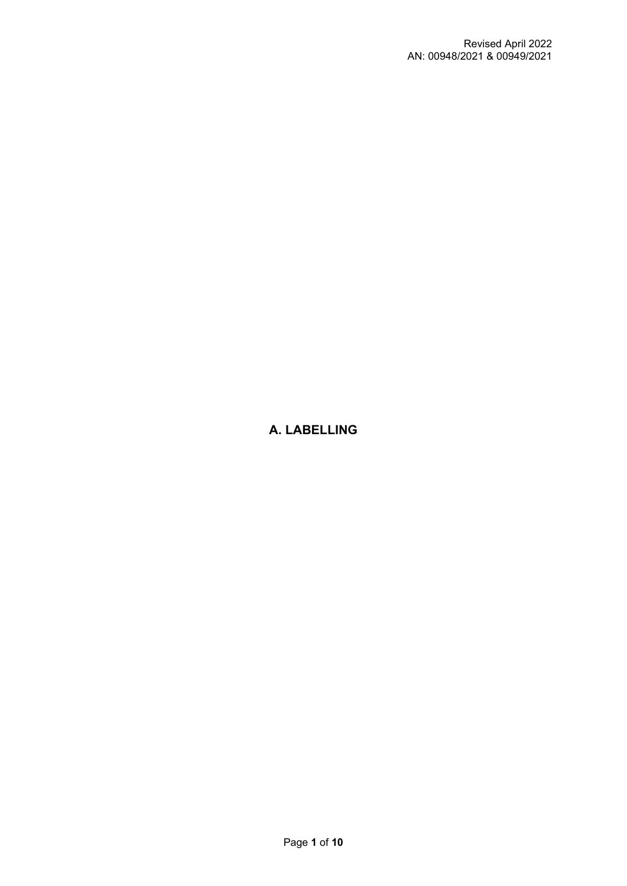# **A. LABELLING**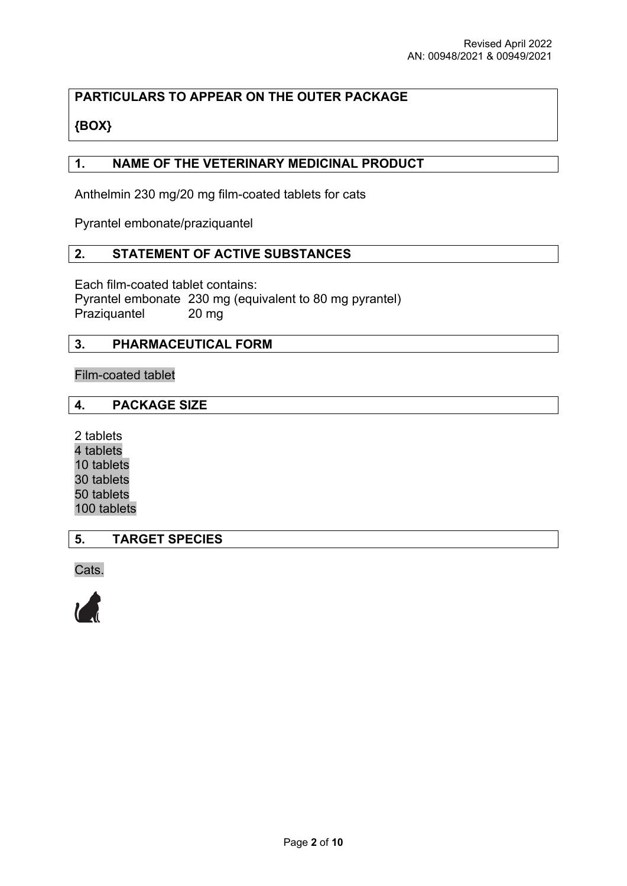# **PARTICULARS TO APPEAR ON THE OUTER PACKAGE**

# **{BOX}**

## **1. NAME OF THE VETERINARY MEDICINAL PRODUCT**

Anthelmin 230 mg/20 mg film-coated tablets for cats

Pyrantel embonate/praziquantel

### **2. STATEMENT OF ACTIVE SUBSTANCES**

Each film-coated tablet contains:

Pyrantel embonate 230 mg (equivalent to 80 mg pyrantel) Praziquantel 20 mg

## **3. PHARMACEUTICAL FORM**

Film-coated tablet

## **4. PACKAGE SIZE**

2 tablets 4 tablets 10 tablets 30 tablets 50 tablets 100 tablets

**5. TARGET SPECIES**

Cats.

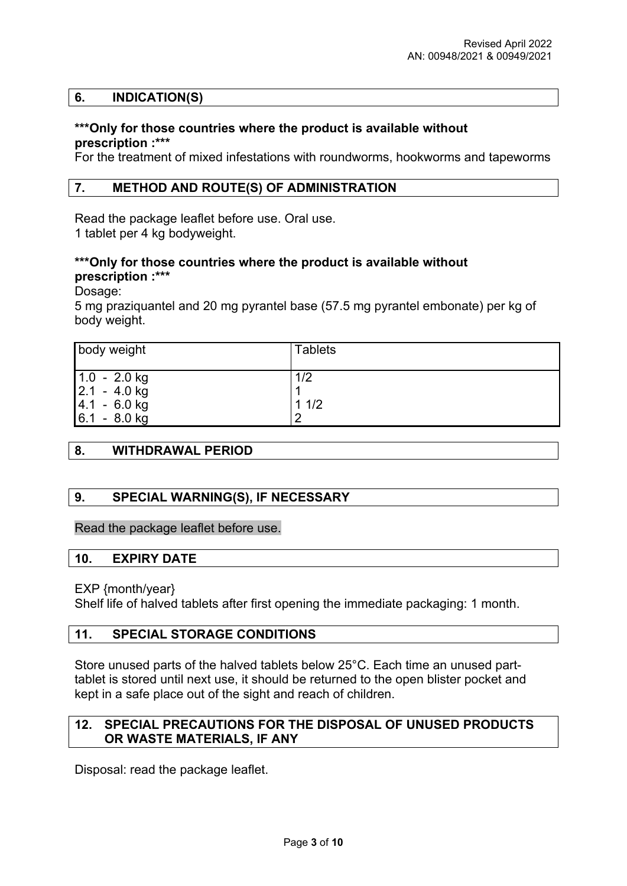#### **6. INDICATION(S)**

#### **\*\*\*Only for those countries where the product is available without prescription :\*\*\***

For the treatment of mixed infestations with roundworms, hookworms and tapeworms

#### **7. METHOD AND ROUTE(S) OF ADMINISTRATION**

Read the package leaflet before use. Oral use. 1 tablet per 4 kg bodyweight.

### **\*\*\*Only for those countries where the product is available without prescription :\*\*\***

Dosage:

5 mg praziquantel and 20 mg pyrantel base (57.5 mg pyrantel embonate) per kg of body weight.

| body weight                                         | <b>Tablets</b> |
|-----------------------------------------------------|----------------|
| $1.0 - 2.0$ kg<br>$2.1 - 4.0$ kg<br>$ 4.1 - 6.0$ kg | 1/2<br>11/2    |
| $6.1 - 8.0$ kg                                      | 2              |

#### **8. WITHDRAWAL PERIOD**

#### **9. SPECIAL WARNING(S), IF NECESSARY**

Read the package leaflet before use.

#### **10. EXPIRY DATE**

EXP {month/year}

Shelf life of halved tablets after first opening the immediate packaging: 1 month.

#### **11. SPECIAL STORAGE CONDITIONS**

Store unused parts of the halved tablets below 25°C. Each time an unused parttablet is stored until next use, it should be returned to the open blister pocket and kept in a safe place out of the sight and reach of children.

### **12. SPECIAL PRECAUTIONS FOR THE DISPOSAL OF UNUSED PRODUCTS OR WASTE MATERIALS, IF ANY**

Disposal: read the package leaflet.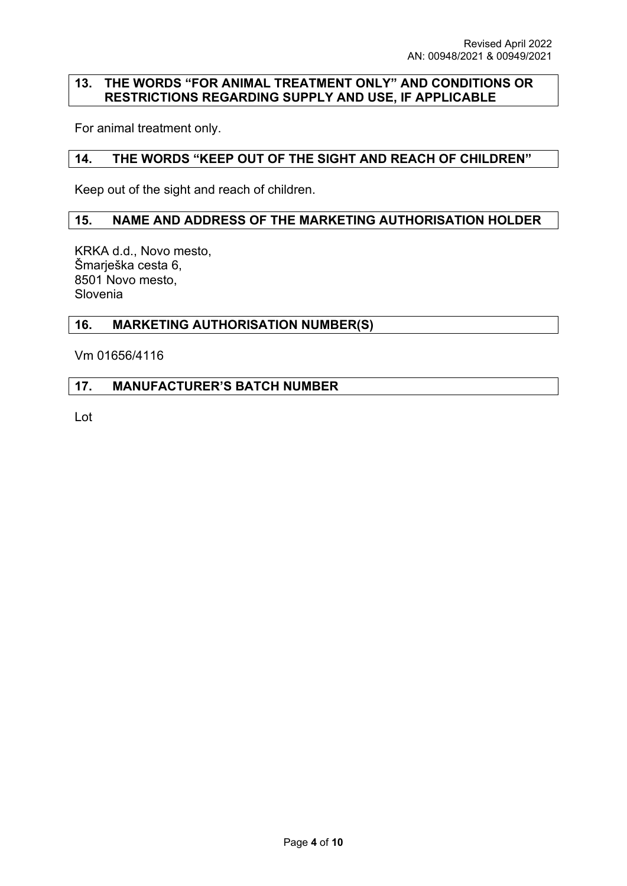### **13. THE WORDS "FOR ANIMAL TREATMENT ONLY" AND CONDITIONS OR RESTRICTIONS REGARDING SUPPLY AND USE, IF APPLICABLE**

For animal treatment only.

## **14. THE WORDS "KEEP OUT OF THE SIGHT AND REACH OF CHILDREN"**

Keep out of the sight and reach of children.

#### **15. NAME AND ADDRESS OF THE MARKETING AUTHORISATION HOLDER**

KRKA d.d., Novo mesto, Šmarješka cesta 6, 8501 Novo mesto, Slovenia

### **16. MARKETING AUTHORISATION NUMBER(S)**

Vm 01656/4116

### **17. MANUFACTURER'S BATCH NUMBER**

Lot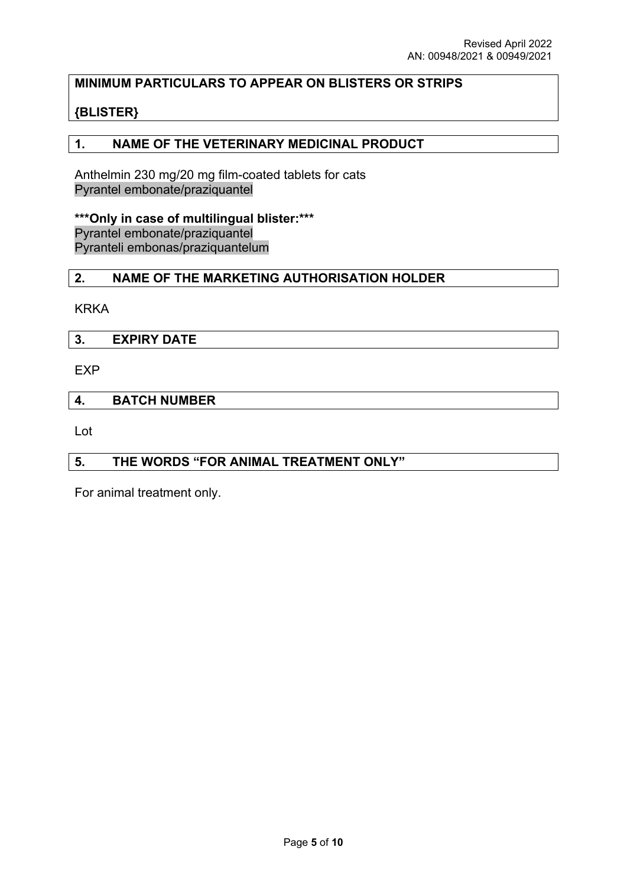## **MINIMUM PARTICULARS TO APPEAR ON BLISTERS OR STRIPS**

## **{BLISTER}**

### **1. NAME OF THE VETERINARY MEDICINAL PRODUCT**

Anthelmin 230 mg/20 mg film-coated tablets for cats Pyrantel embonate/praziquantel

**\*\*\*Only in case of multilingual blister:\*\*\*** Pyrantel embonate/praziquantel Pyranteli embonas/praziquantelum

## **2. NAME OF THE MARKETING AUTHORISATION HOLDER**

KRKA

**3. EXPIRY DATE**

EXP

### **4. BATCH NUMBER**

Lot

#### **5. THE WORDS "FOR ANIMAL TREATMENT ONLY"**

For animal treatment only.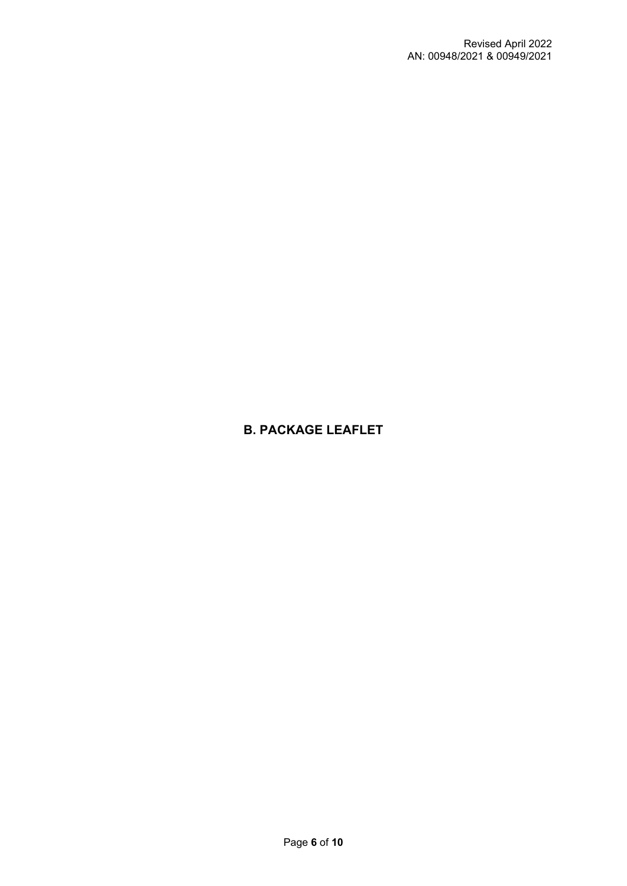# **B. PACKAGE LEAFLET**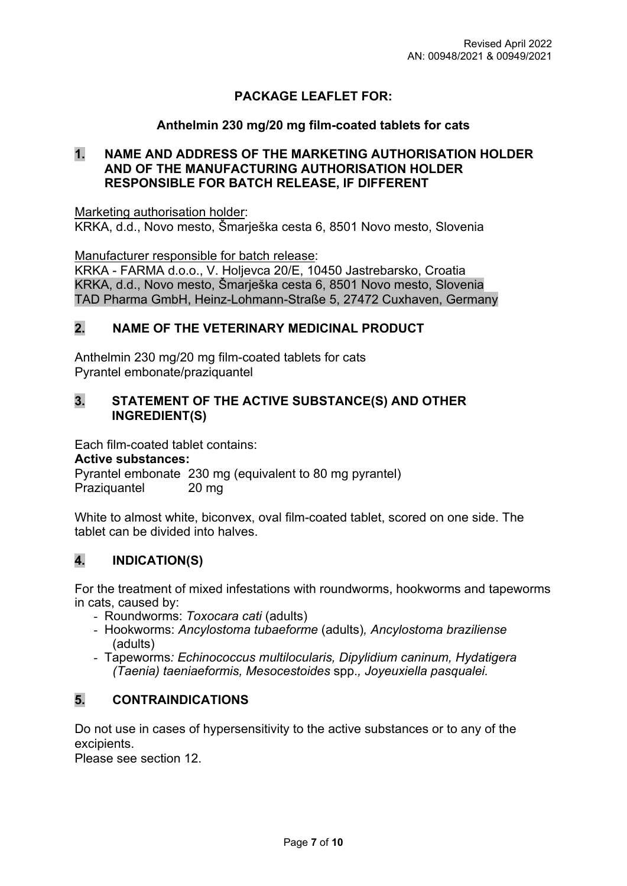# **PACKAGE LEAFLET FOR:**

## **Anthelmin 230 mg/20 mg film-coated tablets for cats**

## **1. NAME AND ADDRESS OF THE MARKETING AUTHORISATION HOLDER AND OF THE MANUFACTURING AUTHORISATION HOLDER RESPONSIBLE FOR BATCH RELEASE, IF DIFFERENT**

Marketing authorisation holder: KRKA, d.d., Novo mesto, Šmarješka cesta 6, 8501 Novo mesto, Slovenia

Manufacturer responsible for batch release:

KRKA - FARMA d.o.o., V. Holjevca 20/E, 10450 Jastrebarsko, Croatia KRKA, d.d., Novo mesto, Šmarješka cesta 6, 8501 Novo mesto, Slovenia TAD Pharma GmbH, Heinz-Lohmann-Straße 5, 27472 Cuxhaven, Germany

## **2. NAME OF THE VETERINARY MEDICINAL PRODUCT**

Anthelmin 230 mg/20 mg film-coated tablets for cats Pyrantel embonate/praziquantel

## **3. STATEMENT OF THE ACTIVE SUBSTANCE(S) AND OTHER INGREDIENT(S)**

Each film-coated tablet contains:

#### **Active substances:**

Pyrantel embonate 230 mg (equivalent to 80 mg pyrantel) Praziquantel 20 mg

White to almost white, biconvex, oval film-coated tablet, scored on one side. The tablet can be divided into halves.

# **4. INDICATION(S)**

For the treatment of mixed infestations with roundworms, hookworms and tapeworms in cats, caused by:

- Roundworms: *Toxocara cati* (adults)
- Hookworms: *Ancylostoma tubaeforme* (adults)*, Ancylostoma braziliense*  (adults)
- Tapeworms*: Echinococcus multilocularis, Dipylidium caninum, Hydatigera (Taenia) taeniaeformis, Mesocestoides* spp.*, Joyeuxiella pasqualei.*

# **5. CONTRAINDICATIONS**

Do not use in cases of hypersensitivity to the active substances or to any of the excipients.

Please see section 12.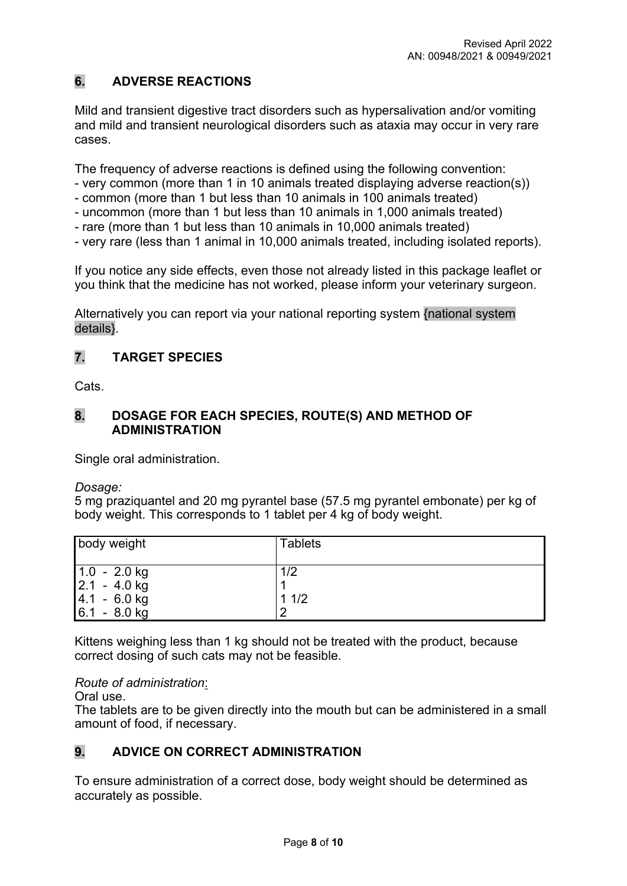# **6. ADVERSE REACTIONS**

Mild and transient digestive tract disorders such as hypersalivation and/or vomiting and mild and transient neurological disorders such as ataxia may occur in very rare cases.

The frequency of adverse reactions is defined using the following convention:

- very common (more than 1 in 10 animals treated displaying adverse reaction(s))
- common (more than 1 but less than 10 animals in 100 animals treated)
- uncommon (more than 1 but less than 10 animals in 1,000 animals treated)
- rare (more than 1 but less than 10 animals in 10,000 animals treated)
- very rare (less than 1 animal in 10,000 animals treated, including isolated reports).

If you notice any side effects, even those not already listed in this package leaflet or you think that the medicine has not worked, please inform your veterinary surgeon.

Alternatively you can report via your national reporting system {national system details}.

# **7. TARGET SPECIES**

Cats.

## **8. DOSAGE FOR EACH SPECIES, ROUTE(S) AND METHOD OF ADMINISTRATION**

Single oral administration.

*Dosage:*

5 mg praziquantel and 20 mg pyrantel base (57.5 mg pyrantel embonate) per kg of body weight. This corresponds to 1 tablet per 4 kg of body weight.

| body weight                                         | <b>Tablets</b> |
|-----------------------------------------------------|----------------|
| $1.0 - 2.0$ kg<br>$2.1 - 4.0$ kg<br>$ 4.1 - 6.0$ kg | 1/2<br>11/2    |
| $6.1 - 8.0$ kg                                      | C              |

Kittens weighing less than 1 kg should not be treated with the product, because correct dosing of such cats may not be feasible.

*Route of administration*:

Oral use.

The tablets are to be given directly into the mouth but can be administered in a small amount of food, if necessary.

# **9. ADVICE ON CORRECT ADMINISTRATION**

To ensure administration of a correct dose, body weight should be determined as accurately as possible.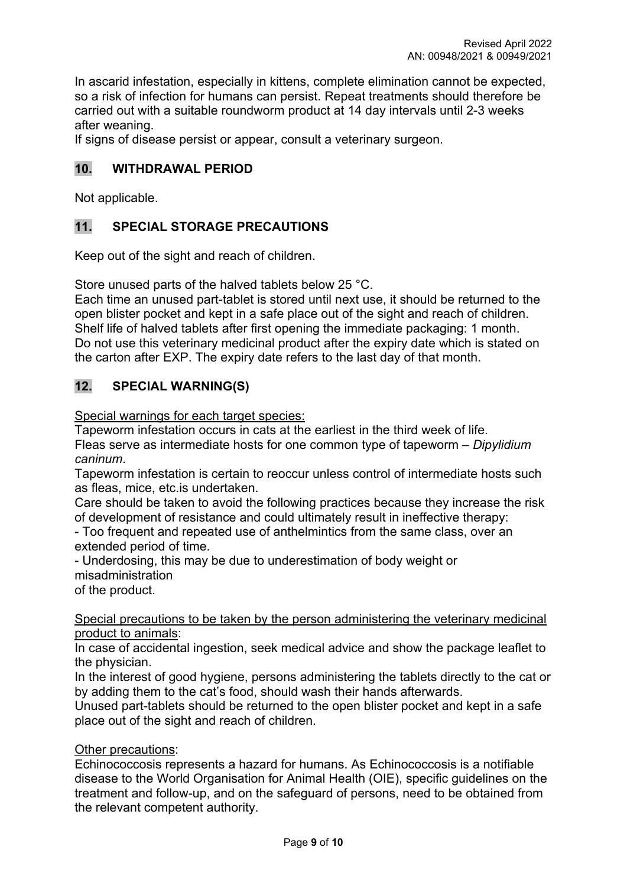In ascarid infestation, especially in kittens, complete elimination cannot be expected, so a risk of infection for humans can persist. Repeat treatments should therefore be carried out with a suitable roundworm product at 14 day intervals until 2-3 weeks after weaning.

If signs of disease persist or appear, consult a veterinary surgeon.

## **10. WITHDRAWAL PERIOD**

Not applicable.

# **11. SPECIAL STORAGE PRECAUTIONS**

Keep out of the sight and reach of children.

Store unused parts of the halved tablets below 25 °C.

Each time an unused part-tablet is stored until next use, it should be returned to the open blister pocket and kept in a safe place out of the sight and reach of children. Shelf life of halved tablets after first opening the immediate packaging: 1 month. Do not use this veterinary medicinal product after the expiry date which is stated on the carton after EXP. The expiry date refers to the last day of that month.

# **12. SPECIAL WARNING(S)**

Special warnings for each target species:

Tapeworm infestation occurs in cats at the earliest in the third week of life. Fleas serve as intermediate hosts for one common type of tapeworm – *Dipylidium caninum*.

Tapeworm infestation is certain to reoccur unless control of intermediate hosts such as fleas, mice, etc.is undertaken.

Care should be taken to avoid the following practices because they increase the risk of development of resistance and could ultimately result in ineffective therapy:

- Too frequent and repeated use of anthelmintics from the same class, over an extended period of time.

- Underdosing, this may be due to underestimation of body weight or misadministration

of the product.

Special precautions to be taken by the person administering the veterinary medicinal product to animals:

In case of accidental ingestion, seek medical advice and show the package leaflet to the physician.

In the interest of good hygiene, persons administering the tablets directly to the cat or by adding them to the cat's food, should wash their hands afterwards.

Unused part-tablets should be returned to the open blister pocket and kept in a safe place out of the sight and reach of children.

#### Other precautions:

Echinococcosis represents a hazard for humans. As Echinococcosis is a notifiable disease to the World Organisation for Animal Health (OIE), specific guidelines on the treatment and follow-up, and on the safeguard of persons, need to be obtained from the relevant competent authority.